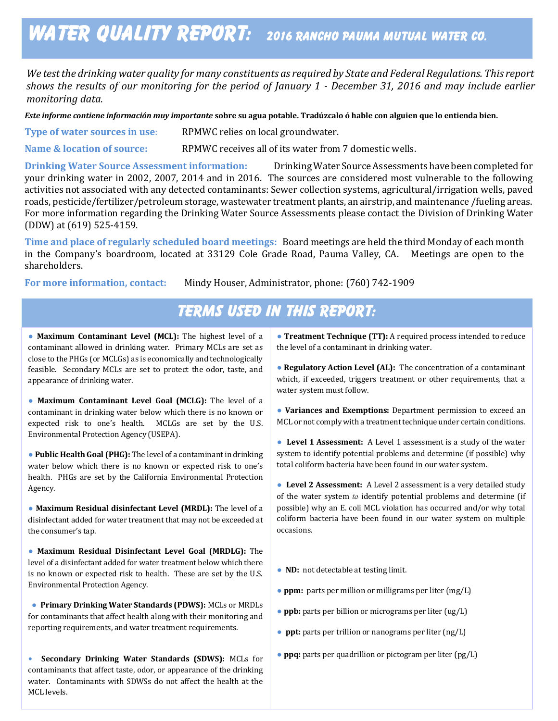# WATER QUALITY REPORT: 2016 RANCHO PAUMA MUTUAL WATER CO.

*We test the drinking water quality for many constituents as required by State and Federal Regulations. This report shows the results of our monitoring for the period of January 1 - December 31, 2016 and may include earlier monitoring data.*

*Este informe contiene información muy importante* **sobre su agua potable. Tradúzcalo ó hable con alguien que lo entienda bien.**

**Type of water sources in use:** RPMWC relies on local groundwater.

**Name & location of source:** RPMWC receives all of its water from 7 domestic wells.

**Drinking Water Source Assessment information:** Drinking Water Source Assessments have been completed for your drinking water in 2002, 2007, 2014 and in 2016. The sources are considered most vulnerable to the following activities not associated with any detected contaminants: Sewer collection systems, agricultural/irrigation wells, paved roads, pesticide/fertilizer/petroleum storage, wastewater treatment plants, an airstrip, and maintenance /fueling areas. For more information regarding the Drinking Water Source Assessments please contact the Division of Drinking Water (DDW) at (619) 525-4159.

**Time and place of regularly scheduled board meetings:** Board meetings are held the third Monday of each month in the Company's boardroom, located at 33129 Cole Grade Road, Pauma Valley, CA. Meetings are open to the shareholders.

**For more information, contact:** Mindy Houser, Administrator, phone: (760) 742-1909

## Terms Used In This Report:

 close to the PHGs (or MCLGs) as is economically and technologically ● **Maximum Contaminant Level (MCL):** The highest level of a contaminant allowed in drinking water. Primary MCLs are set as feasible. Secondary MCLs are set to protect the odor, taste, and appearance of drinking water.

● **Maximum Contaminant Level Goal (MCLG):** The level of a contaminant in drinking water below which there is no known or expected risk to one's health. MCLGs are set by the U.S. Environmental Protection Agency (USEPA).

● **Public Health Goal (PHG):** The level of a contaminant in drinking water below which there is no known or expected risk to one's health. PHGs are set by the California Environmental Protection Agency.

● **Maximum Residual disinfectant Level (MRDL):** The level of a disinfectant added for water treatment that may not be exceeded at the consumer's tap.

● **Maximum Residual Disinfectant Level Goal (MRDLG):** The level of a disinfectant added for water treatment below which there is no known or expected risk to health. These are set by the U.S. Environmental Protection Agency.

reporting requirements, and water treatment requirements. ● **Primary Drinking Water Standards (PDWS):** MCLs or MRDLs for contaminants that affect health along with their monitoring and

• Secondary Drinking Water Standards (SDWS): MCLs for contaminants that affect taste, odor, or appearance of the drinking water. Contaminants with SDWSs do not affect the health at the MCL levels.

● **Treatment Technique (TT):** A required process intended to reduce the level of a contaminant in drinking water.

● **Regulatory Action Level (AL):** The concentration of a contaminant which, if exceeded, triggers treatment or other requirements, that a water system must follow.

● **Variances and Exemptions:** Department permission to exceed an MCL or not comply with a treatment technique under certain conditions.

● **Level 1 Assessment:** A Level 1 assessment is a study of the water system to identify potential problems and determine (if possible) why total coliform bacteria have been found in our water system.

● **Level 2 Assessment:** A Level 2 assessment is a very detailed study of the water system  $to$  identify potential problems and determine (if possible) why an E. coli MCL violation has occurred and/or why total coliform bacteria have been found in our water system on multiple occasions.

● **ND:** not detectable at testing limit.

- **ppm:** parts per million or milligrams per liter (mg/L)
- **ppb:** parts per billion or micrograms per liter (ug/L)
- **ppt:** parts per trillion or nanograms per liter (ng/L)
- to contain small amounts of some contaminants. The presence of contaminants does not necessarily indicate that the ● **ppq:** parts per quadrillion or pictogram per liter (pg/L)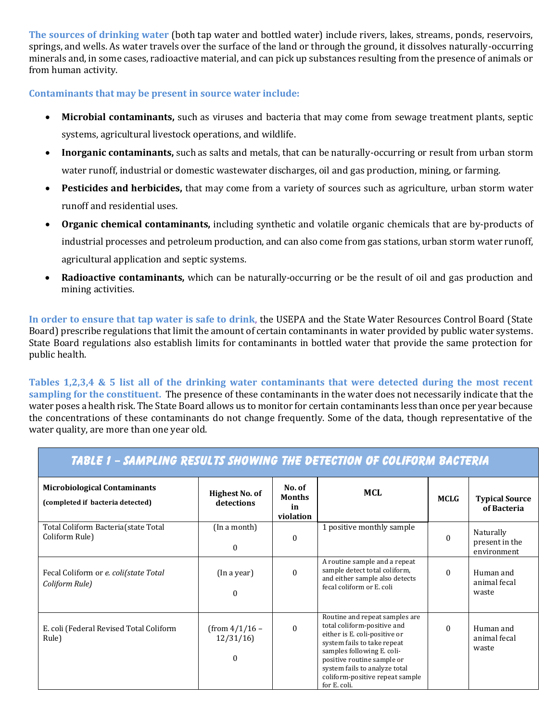**The sources of drinking water** (both tap water and bottled water) include rivers, lakes, streams, ponds, reservoirs, springs, and wells. As water travels over the surface of the land or through the ground, it dissolves naturally-occurring minerals and, in some cases, radioactive material, and can pick up substances resulting from the presence of animals or from human activity.

#### **Contaminants that may be present in source water include:**

- **Microbial contaminants,** such as viruses and bacteria that may come from sewage treatment plants, septic systems, agricultural livestock operations, and wildlife.
- **Inorganic contaminants,** such as salts and metals, that can be naturally-occurring or result from urban storm water runoff, industrial or domestic wastewater discharges, oil and gas production, mining, or farming.
- **Pesticides and herbicides,** that may come from a variety of sources such as agriculture, urban storm water runoff and residential uses.
- **Organic chemical contaminants,** including synthetic and volatile organic chemicals that are by-products of industrial processes and petroleum production, and can also come from gas stations, urban storm water runoff, agricultural application and septic systems.
- **Radioactive contaminants,** which can be naturally-occurring or be the result of oil and gas production and mining activities.

**In order to ensure that tap water is safe to drink**, the USEPA and the State Water Resources Control Board (State Board) prescribe regulations that limit the amount of certain contaminants in water provided by public water systems. State Board regulations also establish limits for contaminants in bottled water that provide the same protection for public health.

**Tables 1,2,3,4 & 5 list all of the drinking water contaminants that were detected during the most recent sampling for the constituent.** The presence of these contaminants in the water does not necessarily indicate that the water poses a health risk. The State Board allows us to monitor for certain contaminants less than once per year because the concentrations of these contaminants do not change frequently. Some of the data, though representative of the water quality, are more than one year old.

| TABLE 1 - SAMPLING RESULTS SHOWING THE DETECTION OF COLIFORM BACTERIA   |                                          |                                            |                                                                                                                                                                                                                                                                               |             |                                            |  |  |  |
|-------------------------------------------------------------------------|------------------------------------------|--------------------------------------------|-------------------------------------------------------------------------------------------------------------------------------------------------------------------------------------------------------------------------------------------------------------------------------|-------------|--------------------------------------------|--|--|--|
| <b>Microbiological Contaminants</b><br>(completed if bacteria detected) | Highest No. of<br>detections             | No. of<br><b>Months</b><br>in<br>violation | <b>MCL</b>                                                                                                                                                                                                                                                                    | <b>MCLG</b> | <b>Typical Source</b><br>of Bacteria       |  |  |  |
| Total Coliform Bacteria (state Total<br>Coliform Rule)                  | (In a month)<br>$\Omega$                 | $\mathbf{0}$                               | 1 positive monthly sample                                                                                                                                                                                                                                                     | $\Omega$    | Naturally<br>present in the<br>environment |  |  |  |
| Fecal Coliform or e. coli(state Total<br>Coliform Rule)                 | (In a year)<br>$\Omega$                  | $\Omega$                                   | A routine sample and a repeat<br>sample detect total coliform,<br>and either sample also detects<br>fecal coliform or E. coli                                                                                                                                                 | $\Omega$    | Human and<br>animal fecal<br>waste         |  |  |  |
| E. coli (Federal Revised Total Coliform<br>Rule)                        | $(from 4/1/16 -$<br>12/31/16<br>$\Omega$ | $\Omega$                                   | Routine and repeat samples are<br>total coliform-positive and<br>either is E. coli-positive or<br>system fails to take repeat<br>samples following E. coli-<br>positive routine sample or<br>system fails to analyze total<br>coliform-positive repeat sample<br>for E. coli. | $\Omega$    | Human and<br>animal fecal<br>waste         |  |  |  |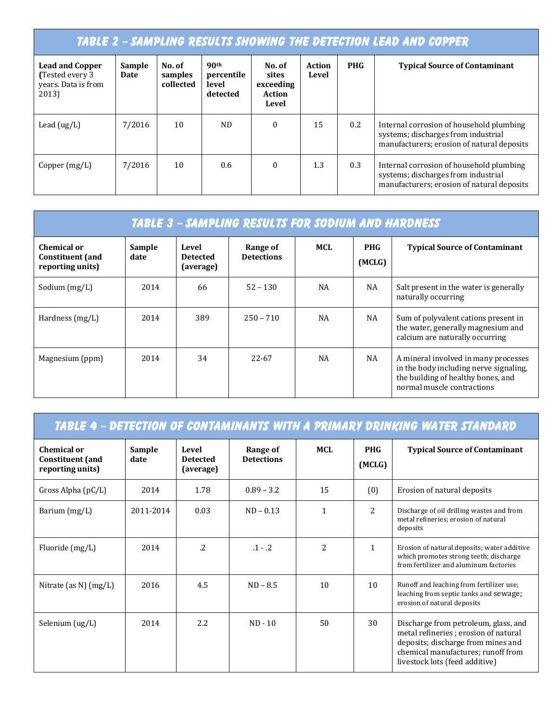### TABLE 2 – SAMPLING RESULTS SHOWING THE DETECTION LEAD AND COPPER

| <b>Lead and Copper</b><br>(Tested every 3)<br>years. Data is from<br>2013) | Sample<br>Date | No. of<br>samples<br>collected | 90 <sup>th</sup><br>percentile<br>level<br>detected | No. of<br>sites<br>exceeding<br>Action<br>Level | Action<br>Level | <b>PHG</b> | <b>Typical Source of Contaminant</b>                                                                                          |
|----------------------------------------------------------------------------|----------------|--------------------------------|-----------------------------------------------------|-------------------------------------------------|-----------------|------------|-------------------------------------------------------------------------------------------------------------------------------|
| Lead $(ug/L)$                                                              | 7/2016         | 10                             | ND.                                                 | $\mathbf{0}$                                    | 15              | 0.2        | Internal corrosion of household plumbing<br>systems; discharges from industrial<br>manufacturers; erosion of natural deposits |
| Copper $(mg/L)$                                                            | 7/2016         | 10                             | 0.6                                                 | $\bf{0}$                                        | 1.3             | 0.3        | Internal corrosion of household plumbing<br>systems; discharges from industrial<br>manufacturers; erosion of natural deposits |

| TABLE 3 - SAMPLING RESULTS FOR SODIUM AND HARDNESS         |                |                                       |                               |           |                      |                                                                                                                                                    |  |
|------------------------------------------------------------|----------------|---------------------------------------|-------------------------------|-----------|----------------------|----------------------------------------------------------------------------------------------------------------------------------------------------|--|
| Chemical or<br><b>Constituent</b> (and<br>reporting units) | Sample<br>date | Level<br><b>Detected</b><br>(average) | Range of<br><b>Detections</b> | MCL       | <b>PHG</b><br>(MCLG) | <b>Typical Source of Contaminant</b>                                                                                                               |  |
| Sodium $(mg/L)$                                            | 2014           | 66                                    | $52 - 130$                    | NA        | NA                   | Salt present in the water is generally<br>naturally occurring                                                                                      |  |
| Hardness (mg/L)                                            | 2014           | 389                                   | $250 - 710$                   | <b>NA</b> | NA                   | Sum of polyvalent cations present in<br>the water, generally magnesium and<br>calcium are naturally occurring                                      |  |
| Magnesium (ppm)                                            | 2014           | 34                                    | 22-67                         | <b>NA</b> | NA                   | A mineral involved in many processes<br>in the body including nerve signaling.<br>the building of healthy bones, and<br>normal muscle contractions |  |

| <u> TABLE 4 - DETECTION OF CONTAMINANTS WITH A PRIMARY DRINKING WATER STANDARD</u> |                |                                       |                               |                |                      |                                                                                                                                                                                            |  |
|------------------------------------------------------------------------------------|----------------|---------------------------------------|-------------------------------|----------------|----------------------|--------------------------------------------------------------------------------------------------------------------------------------------------------------------------------------------|--|
| <b>Chemical or</b><br><b>Constituent</b> (and<br>reporting units)                  | Sample<br>date | Level<br><b>Detected</b><br>(average) | Range of<br><b>Detections</b> | <b>MCL</b>     | <b>PHG</b><br>(MCLG) | <b>Typical Source of Contaminant</b>                                                                                                                                                       |  |
| Gross Alpha (pC/L)                                                                 | 2014           | 1.78                                  | $0.89 - 3.2$                  | 15             | (0)                  | Erosion of natural deposits                                                                                                                                                                |  |
| Barium (mg/L)                                                                      | 2011-2014      | 0.03                                  | $ND - 0.13$                   | $\mathbf{1}$   | $\overline{2}$       | Discharge of oil drilling wastes and from<br>metal refineries; erosion of natural<br>deposits                                                                                              |  |
| Fluoride (mg/L)                                                                    | 2014           | $\overline{2}$                        | $.1 - .2$                     | $\overline{c}$ | $\mathbf{1}$         | Erosion of natural deposits; water additive<br>which promotes strong teeth; discharge<br>from fertilizer and aluminum factories                                                            |  |
| Nitrate (as N) (mg/L)                                                              | 2016           | 4.5                                   | $ND - 8.5$                    | 10             | 10                   | Runoff and leaching from fertilizer use;<br>leaching from septic tanks and sewage;<br>erosion of natural deposits                                                                          |  |
| Selenium (ug/L)                                                                    | 2014           | 2.2                                   | $ND - 10$                     | 50             | 30                   | Discharge from petroleum, glass, and<br>metal refineries; erosion of natural<br>deposits; discharge from mines and<br>chemical manufactures; runoff from<br>livestock lots (feed additive) |  |